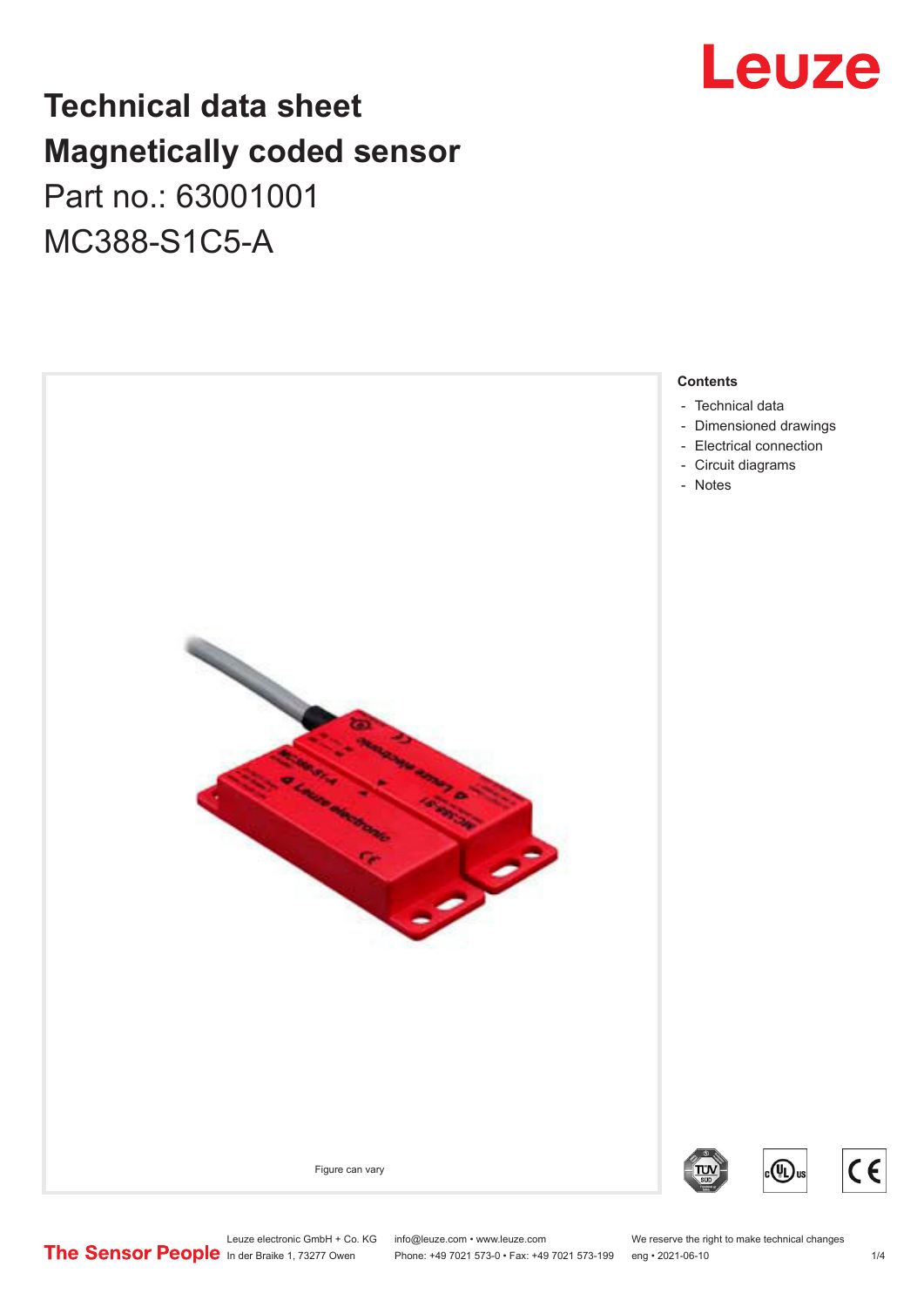## **Leuze**

## **Technical data sheet Magnetically coded sensor** Part no.: 63001001 MC388-S1C5-A



Leuze electronic GmbH + Co. KG info@leuze.com • www.leuze.com We reserve the right to make technical changes<br>
The Sensor People in der Braike 1, 73277 Owen Phone: +49 7021 573-0 • Fax: +49 7021 573-199 eng • 2021-06-10 Phone: +49 7021 573-0 • Fax: +49 7021 573-199 eng • 2021-06-10

 $C \in$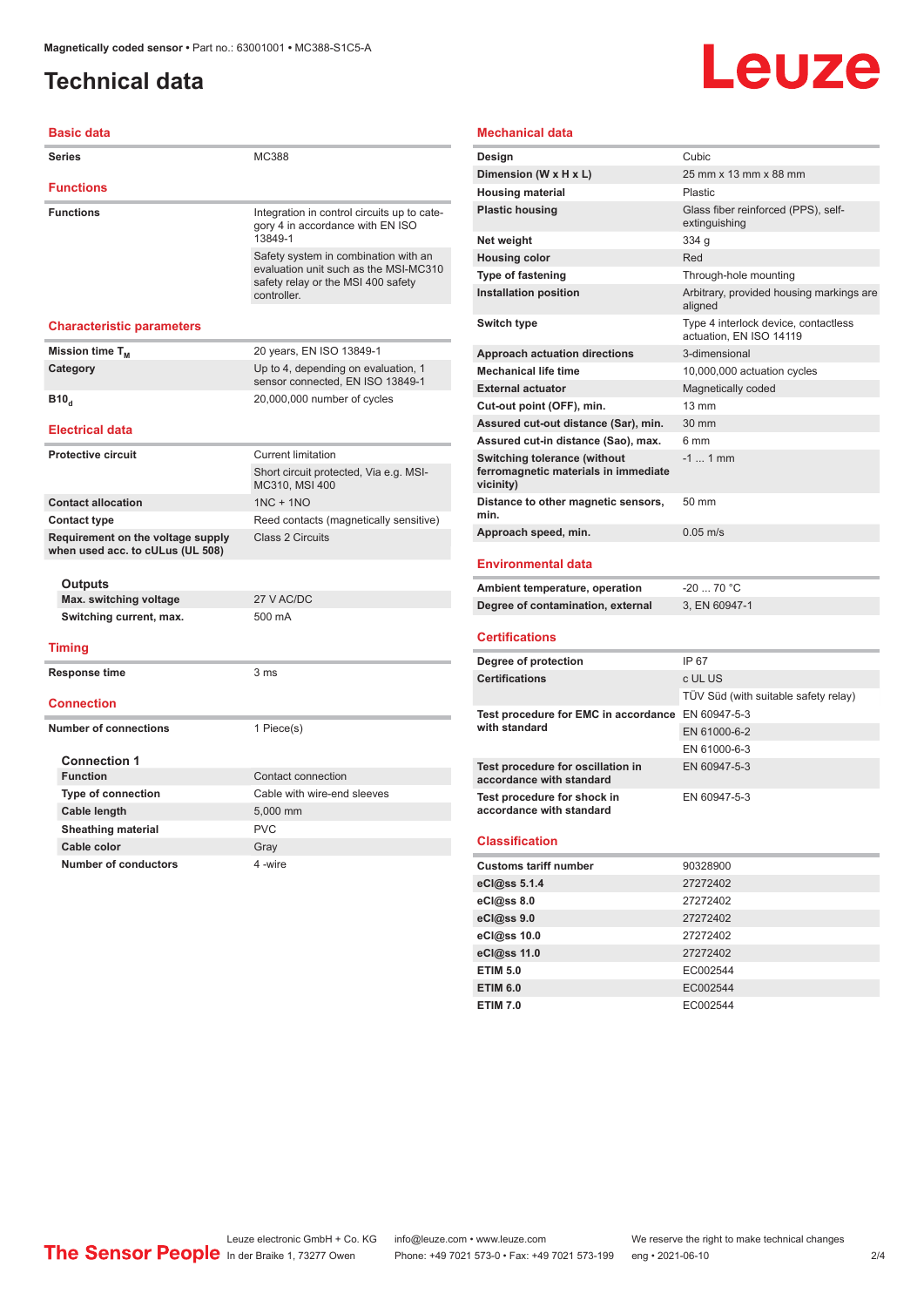## <span id="page-1-0"></span>**Technical data**

# Leuze

| <b>Basic data</b>                                                     |                                                                                                                                    |
|-----------------------------------------------------------------------|------------------------------------------------------------------------------------------------------------------------------------|
| <b>Series</b>                                                         | MC388                                                                                                                              |
| <b>Functions</b>                                                      |                                                                                                                                    |
| <b>Functions</b>                                                      | Integration in control circuits up to cate-<br>gory 4 in accordance with EN ISO<br>13849-1                                         |
|                                                                       | Safety system in combination with an<br>evaluation unit such as the MSI-MC310<br>safety relay or the MSI 400 safety<br>controller. |
| <b>Characteristic parameters</b>                                      |                                                                                                                                    |
| Mission time T <sub>M</sub>                                           | 20 years, EN ISO 13849-1                                                                                                           |
| Category                                                              | Up to 4, depending on evaluation, 1<br>sensor connected, EN ISO 13849-1                                                            |
| B10 <sub>d</sub>                                                      | 20,000,000 number of cycles                                                                                                        |
| <b>Electrical data</b>                                                |                                                                                                                                    |
| <b>Protective circuit</b>                                             | <b>Current limitation</b>                                                                                                          |
|                                                                       | Short circuit protected, Via e.g. MSI-<br>MC310, MSI 400                                                                           |
| <b>Contact allocation</b>                                             | $1NC + 1NO$                                                                                                                        |
| <b>Contact type</b>                                                   | Reed contacts (magnetically sensitive)                                                                                             |
| Requirement on the voltage supply<br>when used acc. to cULus (UL 508) | <b>Class 2 Circuits</b>                                                                                                            |
| Outputs                                                               |                                                                                                                                    |
| Max. switching voltage                                                | 27 V AC/DC                                                                                                                         |
| Switching current, max.                                               | 500 mA                                                                                                                             |
| <b>Timing</b>                                                         |                                                                                                                                    |
| Response time                                                         | 3 <sub>ms</sub>                                                                                                                    |
| <b>Connection</b>                                                     |                                                                                                                                    |
| <b>Number of connections</b>                                          | 1 Piece(s)                                                                                                                         |
| <b>Connection 1</b>                                                   |                                                                                                                                    |
| <b>Function</b>                                                       | Contact connection                                                                                                                 |
| <b>Type of connection</b>                                             | Cable with wire-end sleeves                                                                                                        |
| Cable length                                                          | 5,000 mm                                                                                                                           |
| <b>Sheathing material</b>                                             | <b>PVC</b>                                                                                                                         |
| Cable color                                                           | Gray                                                                                                                               |
| <b>Number of conductors</b>                                           | 4-wire                                                                                                                             |

### **Mechanical data**

| Design                                                                                   | Cubic                                                           |
|------------------------------------------------------------------------------------------|-----------------------------------------------------------------|
| Dimension (W x H x L)                                                                    | 25 mm x 13 mm x 88 mm                                           |
| <b>Housing material</b>                                                                  | <b>Plastic</b>                                                  |
| <b>Plastic housing</b>                                                                   | Glass fiber reinforced (PPS), self-<br>extinguishing            |
| Net weight                                                                               | 334 g                                                           |
| <b>Housing color</b>                                                                     | Red                                                             |
| <b>Type of fastening</b>                                                                 | Through-hole mounting                                           |
| <b>Installation position</b>                                                             | Arbitrary, provided housing markings are<br>aligned             |
| Switch type                                                                              | Type 4 interlock device, contactless<br>actuation. EN ISO 14119 |
| <b>Approach actuation directions</b>                                                     | 3-dimensional                                                   |
| <b>Mechanical life time</b>                                                              | 10,000,000 actuation cycles                                     |
| <b>External actuator</b>                                                                 | Magnetically coded                                              |
| Cut-out point (OFF), min.                                                                | $13 \text{ mm}$                                                 |
| Assured cut-out distance (Sar), min.                                                     | 30 mm                                                           |
| Assured cut-in distance (Sao), max.                                                      | 6 mm                                                            |
| <b>Switching tolerance (without</b><br>ferromagnetic materials in immediate<br>vicinity) | $-1$ 1 mm                                                       |
| Distance to other magnetic sensors,<br>min.                                              | $50 \text{ mm}$                                                 |
| Approach speed, min.                                                                     | $0.05 \text{ m/s}$                                              |
|                                                                                          |                                                                 |

#### **Environmental data**

| Ambient temperature, operation    | -20  70 °C    |
|-----------------------------------|---------------|
| Degree of contamination, external | 3. EN 60947-1 |

#### **Certifications**

| Degree of protection                                          | IP 67                                |
|---------------------------------------------------------------|--------------------------------------|
| <b>Certifications</b>                                         | c UL US                              |
|                                                               | TÜV Süd (with suitable safety relay) |
| Test procedure for EMC in accordance EN 60947-5-3             |                                      |
| with standard                                                 | EN 61000-6-2                         |
|                                                               | EN 61000-6-3                         |
| Test procedure for oscillation in<br>accordance with standard | EN 60947-5-3                         |
| Test procedure for shock in<br>accordance with standard       | EN 60947-5-3                         |

#### **Classification**

| <b>Customs tariff number</b> | 90328900 |  |
|------------------------------|----------|--|
| eCl@ss 5.1.4                 | 27272402 |  |
| eCl@ss 8.0                   | 27272402 |  |
| eCl@ss 9.0                   | 27272402 |  |
| eCl@ss 10.0                  | 27272402 |  |
| eCl@ss 11.0                  | 27272402 |  |
| <b>ETIM 5.0</b>              | EC002544 |  |
| <b>ETIM 6.0</b>              | EC002544 |  |
| <b>ETIM 7.0</b>              | EC002544 |  |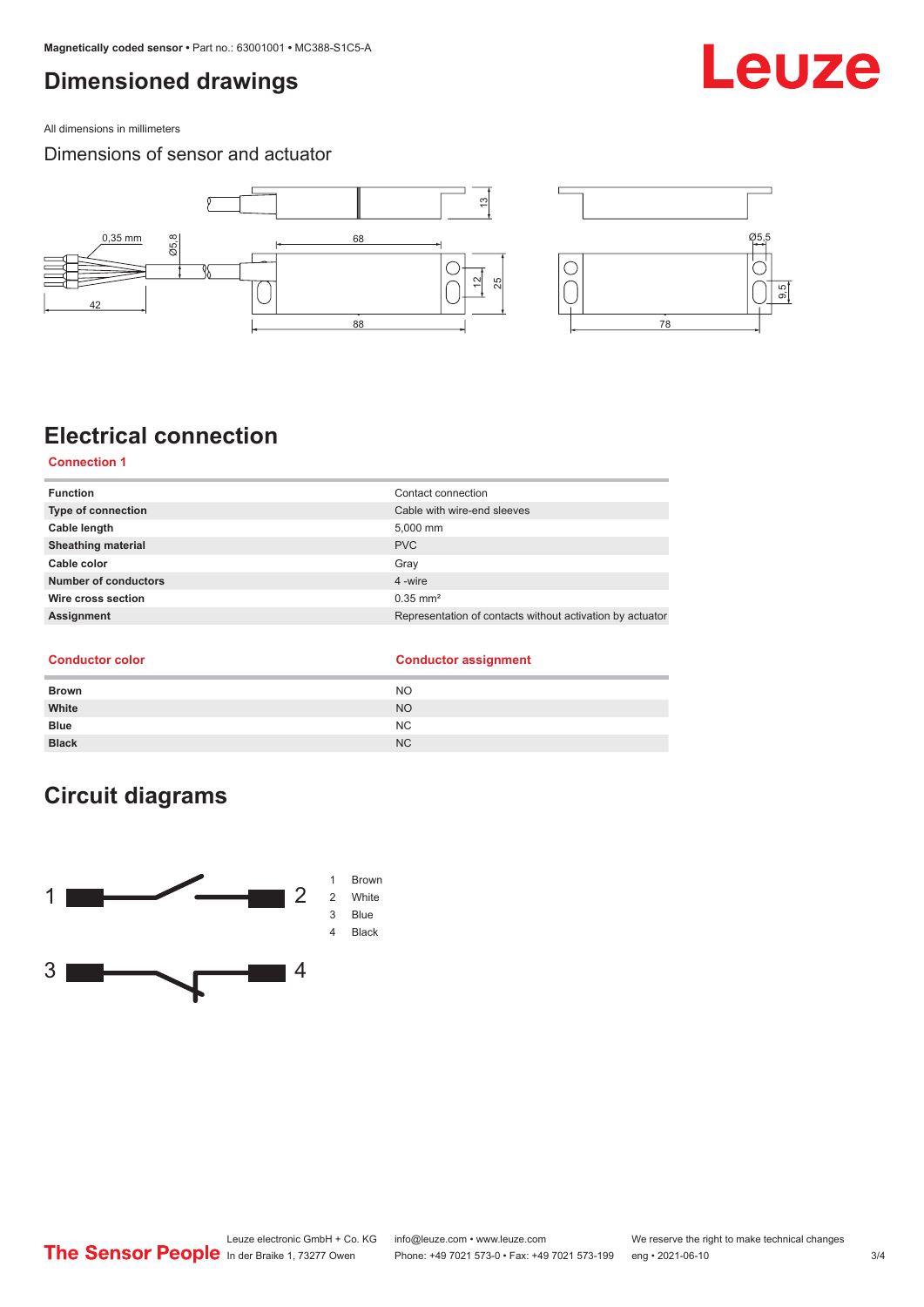## <span id="page-2-0"></span>**Dimensioned drawings**

All dimensions in millimeters

### Dimensions of sensor and actuator



## **Electrical connection**

#### **Connection 1**

| <b>Function</b>           | Contact connection                                        |
|---------------------------|-----------------------------------------------------------|
| Type of connection        | Cable with wire-end sleeves                               |
| Cable length              | 5,000 mm                                                  |
| <b>Sheathing material</b> | <b>PVC</b>                                                |
| Cable color               | Gray                                                      |
| Number of conductors      | 4 -wire                                                   |
| Wire cross section        | $0.35$ mm <sup>2</sup>                                    |
| Assignment                | Representation of contacts without activation by actuator |
|                           |                                                           |

### **Conductor color Conductor assignment**

| <b>Brown</b> | <b>NO</b>      |
|--------------|----------------|
| White        | <b>NO</b>      |
| <b>Blue</b>  | NC             |
| <b>Black</b> | N <sub>C</sub> |

## **Circuit diagrams**



## Leuze